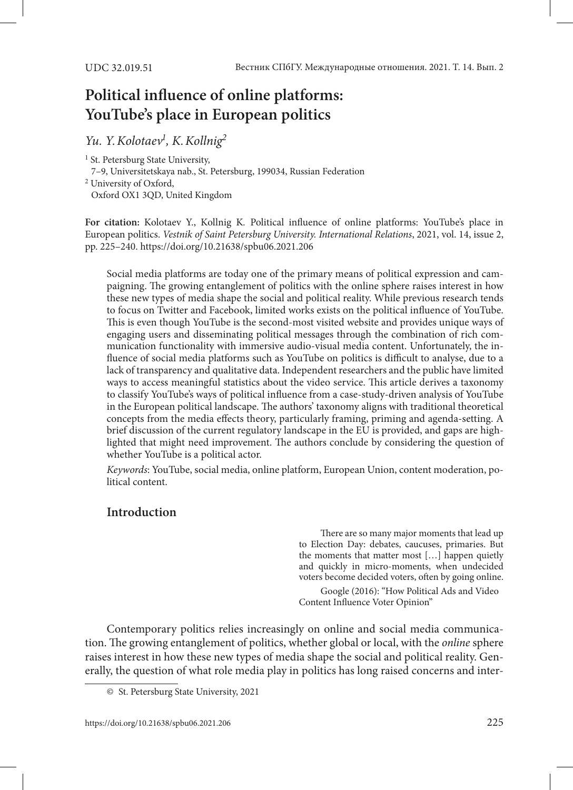# **Political influence of online platforms: YouTube's place in European politics**

*Yu. Y.Kolotaev1 , K.Kollnig2*

<sup>1</sup> St. Petersburg State University, 7–9, Universitetskaya nab., St. Petersburg, 199034, Russian Federation 2 University of Oxford, Oxford OX1 3QD, United Kingdom

**For citation:** Kolotaev Y., Kollnig K*.* Political influence of online platforms: YouTube's place in European politics. *Vestnik of Saint Petersburg University. International Relations*, 2021, vol. 14, issue 2, pp. 225–240. [https://doi.org/](https://doi.org/10.21638/spbu06.2021.206)10.21638/spbu06.2021.206

Social media platforms are today one of the primary means of political expression and campaigning. The growing entanglement of politics with the online sphere raises interest in how these new types of media shape the social and political reality. While previous research tends to focus on Twitter and Facebook, limited works exists on the political influence of YouTube. This is even though YouTube is the second-most visited website and provides unique ways of engaging users and disseminating political messages through the combination of rich communication functionality with immersive audio-visual media content. Unfortunately, the influence of social media platforms such as YouTube on politics is difficult to analyse, due to a lack of transparency and qualitative data. Independent researchers and the public have limited ways to access meaningful statistics about the video service. This article derives a taxonomy to classify YouTube's ways of political influence from a case-study-driven analysis of YouTube in the European political landscape. The authors' taxonomy aligns with traditional theoretical concepts from the media effects theory, particularly framing, priming and agenda-setting. A brief discussion of the current regulatory landscape in the EU is provided, and gaps are highlighted that might need improvement. The authors conclude by considering the question of whether YouTube is a political actor.

*Keywords*: YouTube, social media, online platform, European Union, content moderation, political content.

## **Introduction**

There are so many major moments that lead up to Election Day: debates, caucuses, primaries. But the moments that matter most […] happen quietly and quickly in micro-moments, when undecided voters become decided voters, often by going online.

Google (2016): ["How Political Ads and Video](https://www.thinkwithgoogle.com/marketing-strategies/video/political-ads-video-content-influence-voter-opinion/)  [Content Influence Voter Opinion"](https://www.thinkwithgoogle.com/marketing-strategies/video/political-ads-video-content-influence-voter-opinion/) 

Contemporary politics relies increasingly on online and social media communication. The growing entanglement of politics, whether global or local, with the *online* sphere raises interest in how these new types of media shape the social and political reality. Generally, the question of what role media play in politics has long raised concerns and inter-

<sup>©</sup> St. Petersburg State University, 2021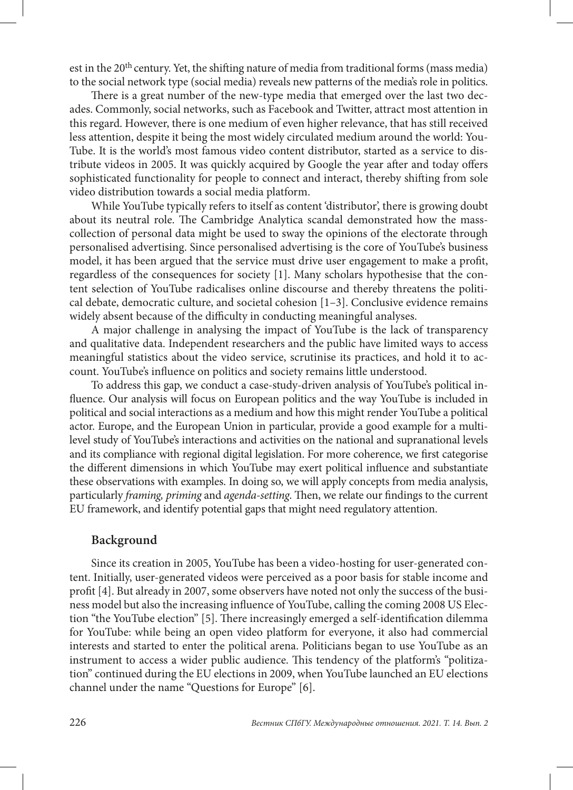est in the 20<sup>th</sup> century. Yet, the shifting nature of media from traditional forms (mass media) to the social network type (social media) reveals new patterns of the media's role in politics.

There is a great number of the new-type media that emerged over the last two decades. Commonly, social networks, such as Facebook and Twitter, attract most attention in this regard. However, there is one medium of even higher relevance, that has still received less attention, despite it being the most widely circulated medium around the world: You-Tube. It is the world's most famous video content distributor, started as a service to distribute videos in 2005. It was quickly acquired by Google the year after and today offers sophisticated functionality for people to connect and interact, thereby shifting from sole video distribution towards a social media platform.

While YouTube typically refers to itself as content 'distributor', there is growing doubt about its neutral role. The Cambridge Analytica scandal demonstrated how the masscollection of personal data might be used to sway the opinions of the electorate through personalised advertising. Since personalised advertising is the core of YouTube's business model, it has been argued that the service must drive user engagement to make a profit, regardless of the consequences for society [1]. Many scholars hypothesise that the content selection of YouTube radicalises online discourse and thereby threatens the political debate, democratic culture, and societal cohesion  $[1-3]$ . Conclusive evidence remains widely absent because of the difficulty in conducting meaningful analyses.

A major challenge in analysing the impact of YouTube is the lack of transparency and qualitative data. Independent researchers and the public have limited ways to access meaningful statistics about the video service, scrutinise its practices, and hold it to account. YouTube's influence on politics and society remains little understood.

To address this gap, we conduct a case-study-driven analysis of YouTube's political influence. Our analysis will focus on European politics and the way YouTube is included in political and social interactions as a medium and how this might render YouTube a political actor. Europe, and the European Union in particular, provide a good example for a multilevel study of YouTube's interactions and activities on the national and supranational levels and its compliance with regional digital legislation. For more coherence, we first categorise the different dimensions in which YouTube may exert political influence and substantiate these observations with examples. In doing so, we will apply concepts from media analysis, particularly *framing, priming* and *agenda-setting*. Then, we relate our findings to the current EU framework, and identify potential gaps that might need regulatory attention.

#### **Background**

Since its creation in 2005, YouTube has been a video-hosting for user-generated content. Initially, user-generated videos were perceived as a poor basis for stable income and profit [4]. But already in 2007, some observers have noted not only the success of the business model but also the increasing influence of YouTube, calling the coming 2008 US Election "the YouTube election" [5]. There increasingly emerged a self-identification dilemma for YouTube: while being an open video platform for everyone, it also had commercial interests and started to enter the political arena. Politicians began to use YouTube as an instrument to access a wider public audience. This tendency of the platform's "politization" continued during the EU elections in 2009, when YouTube launched an EU elections channel under the name "Questions for Europe" [6].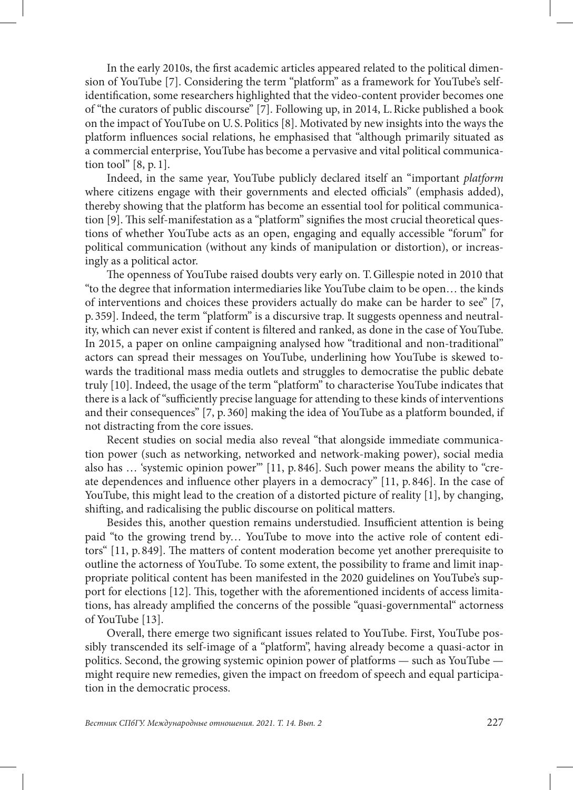In the early 2010s, the first academic articles appeared related to the political dimension of YouTube [7]. Considering the term "platform" as a framework for YouTube's selfidentification, some researchers highlighted that the video-content provider becomes one of "the curators of public discourse" [7]. Following up, in 2014, L.Ricke published a book on the impact of YouTube on U. S.Politics [8]. Motivated by new insights into the ways the platform influences social relations, he emphasised that "although primarily situated as a commercial enterprise, YouTube has become a pervasive and vital political communication tool" [8, p. 1].

Indeed, in the same year, YouTube publicly declared itself an "important *platform* where citizens engage with their governments and elected officials" (emphasis added), thereby showing that the platform has become an essential tool for political communication [9]. This self-manifestation as a "platform" signifies the most crucial theoretical questions of whether YouTube acts as an open, engaging and equally accessible "forum" for political communication (without any kinds of manipulation or distortion), or increasingly as a political actor.

The openness of YouTube raised doubts very early on. T.Gillespie noted in 2010 that "to the degree that information intermediaries like YouTube claim to be open… the kinds of interventions and choices these providers actually do make can be harder to see" [7, p. 359]. Indeed, the term "platform" is a discursive trap. It suggests openness and neutrality, which can never exist if content is filtered and ranked, as done in the case of YouTube. In 2015, a paper on online campaigning analysed how "traditional and non-traditional" actors can spread their messages on YouTube, underlining how YouTube is skewed towards the traditional mass media outlets and struggles to democratise the public debate truly [10]. Indeed, the usage of the term "platform" to characterise YouTube indicates that there is a lack of "sufficiently precise language for attending to these kinds of interventions and their consequences" [7, p. 360] making the idea of YouTube as a platform bounded, if not distracting from the core issues.

Recent studies on social media also reveal "that alongside immediate communication power (such as networking, networked and network-making power), social media also has … 'systemic opinion power'" [11, p. 846]. Such power means the ability to "create dependences and influence other players in a democracy" [11, p. 846]. In the case of YouTube, this might lead to the creation of a distorted picture of reality [1], by changing, shifting, and radicalising the public discourse on political matters.

Besides this, another question remains understudied. Insufficient attention is being paid "to the growing trend by… YouTube to move into the active role of content editors" [11, p. 849]. The matters of content moderation become yet another prerequisite to outline the actorness of YouTube. To some extent, the possibility to frame and limit inappropriate political content has been manifested in the 2020 guidelines on YouTube's support for elections [12]. This, together with the aforementioned incidents of access limitations, has already amplified the concerns of the possible "quasi-governmental" actorness of YouTube [13].

Overall, there emerge two significant issues related to YouTube. First, YouTube possibly transcended its self-image of a "platform", having already become a quasi-actor in politics. Second, the growing systemic opinion power of platforms — such as YouTube might require new remedies, given the impact on freedom of speech and equal participation in the democratic process.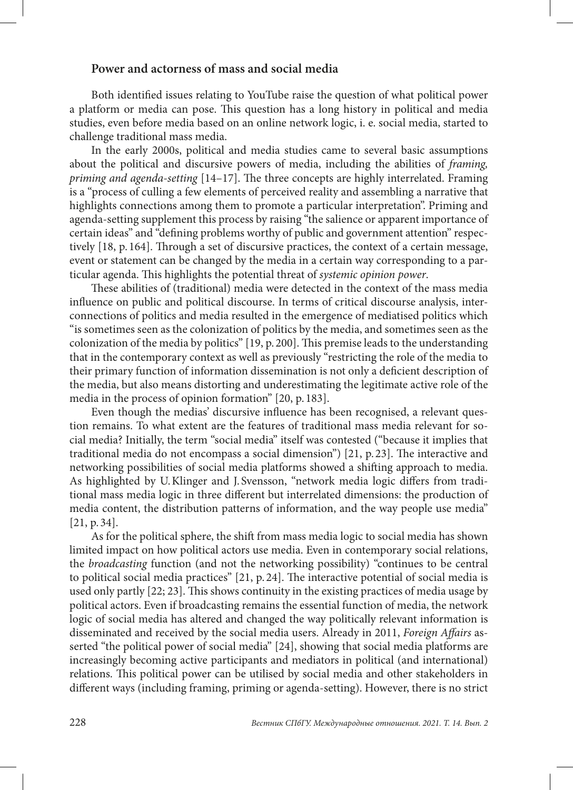#### **Power and actorness of mass and social media**

Both identified issues relating to YouTube raise the question of what political power a platform or media can pose. This question has a long history in political and media studies, even before media based on an online network logic, i. e. social media, started to challenge traditional mass media.

In the early 2000s, political and media studies came to several basic assumptions about the political and discursive powers of media, including the abilities of *framing, priming and agenda-setting* [14–17]. The three concepts are highly interrelated. Framing is a "process of culling a few elements of perceived reality and assembling a narrative that highlights connections among them to promote a particular interpretation". Priming and agenda-setting supplement this process by raising "the salience or apparent importance of certain ideas" and "defining problems worthy of public and government attention" respectively [18, p. 164]. Through a set of discursive practices, the context of a certain message, event or statement can be changed by the media in a certain way corresponding to a particular agenda. This highlights the potential threat of *systemic opinion power*.

These abilities of (traditional) media were detected in the context of the mass media influence on public and political discourse. In terms of critical discourse analysis, interconnections of politics and media resulted in the emergence of mediatised politics which "is sometimes seen as the colonization of politics by the media, and sometimes seen as the colonization of the media by politics" [19, p. 200]. This premise leads to the understanding that in the contemporary context as well as previously "restricting the role of the media to their primary function of information dissemination is not only a deficient description of the media, but also means distorting and underestimating the legitimate active role of the media in the process of opinion formation" [20, p. 183].

Even though the medias' discursive influence has been recognised, a relevant question remains. To what extent are the features of traditional mass media relevant for social media? Initially, the term "social media" itself was contested ("because it implies that traditional media do not encompass a social dimension") [21, p. 23]. The interactive and networking possibilities of social media platforms showed a shifting approach to media. As highlighted by U.Klinger and J. Svensson, "network media logic differs from traditional mass media logic in three different but interrelated dimensions: the production of media content, the distribution patterns of information, and the way people use media" [21, p. 34].

As for the political sphere, the shift from mass media logic to social media has shown limited impact on how political actors use media. Even in contemporary social relations, the *broadcasting* function (and not the networking possibility) "continues to be central to political social media practices" [21, p. 24]. The interactive potential of social media is used only partly [22; 23]. This shows continuity in the existing practices of media usage by political actors. Even if broadcasting remains the essential function of media, the network logic of social media has altered and changed the way politically relevant information is disseminated and received by the social media users. Already in 2011, *Foreign Affairs* asserted "the political power of social media" [24], showing that social media platforms are increasingly becoming active participants and mediators in political (and international) relations. This political power can be utilised by social media and other stakeholders in different ways (including framing, priming or agenda-setting). However, there is no strict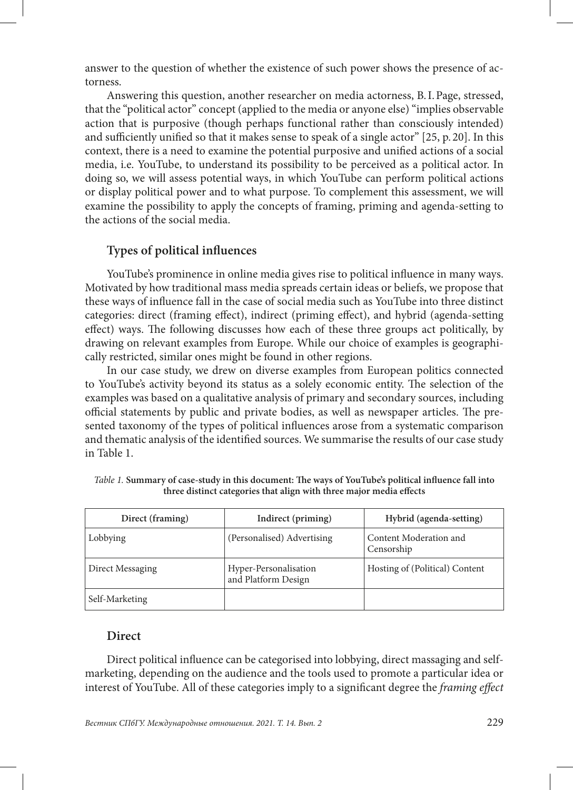answer to the question of whether the existence of such power shows the presence of actorness.

Answering this question, another researcher on media actorness, B.I.Page, stressed, that the "political actor" concept (applied to the media or anyone else) "implies observable action that is purposive (though perhaps functional rather than consciously intended) and sufficiently unified so that it makes sense to speak of a single actor" [25, p. 20]. In this context, there is a need to examine the potential purposive and unified actions of a social media, i.e. YouTube, to understand its possibility to be perceived as a political actor. In doing so, we will assess potential ways, in which YouTube can perform political actions or display political power and to what purpose. To complement this assessment, we will examine the possibility to apply the concepts of framing, priming and agenda-setting to the actions of the social media.

## **Types of political influences**

YouTube's prominence in online media gives rise to political influence in many ways. Motivated by how traditional mass media spreads certain ideas or beliefs, we propose that these ways of influence fall in the case of social media such as YouTube into three distinct categories: direct (framing effect), indirect (priming effect), and hybrid (agenda-setting effect) ways. The following discusses how each of these three groups act politically, by drawing on relevant examples from Europe. While our choice of examples is geographically restricted, similar ones might be found in other regions.

In our case study, we drew on diverse examples from European politics connected to YouTube's activity beyond its status as a solely economic entity. The selection of the examples was based on a qualitative analysis of primary and secondary sources, including official statements by public and private bodies, as well as newspaper articles. The presented taxonomy of the types of political influences arose from a systematic comparison and thematic analysis of the identified sources. We summarise the results of our case study in Table 1.

| Direct (framing) | Indirect (priming)                           | Hybrid (agenda-setting)              |
|------------------|----------------------------------------------|--------------------------------------|
| Lobbying         | (Personalised) Advertising                   | Content Moderation and<br>Censorship |
| Direct Messaging | Hyper-Personalisation<br>and Platform Design | Hosting of (Political) Content       |
| Self-Marketing   |                                              |                                      |

*Table 1.* **Summary of case-study in this document: The ways of YouTube's political influence fall into three distinct categories that align with three major media effects**

#### **Direct**

Direct political influence can be categorised into lobbying, direct massaging and selfmarketing, depending on the audience and the tools used to promote a particular idea or interest of YouTube. All of these categories imply to a significant degree the *framing effect*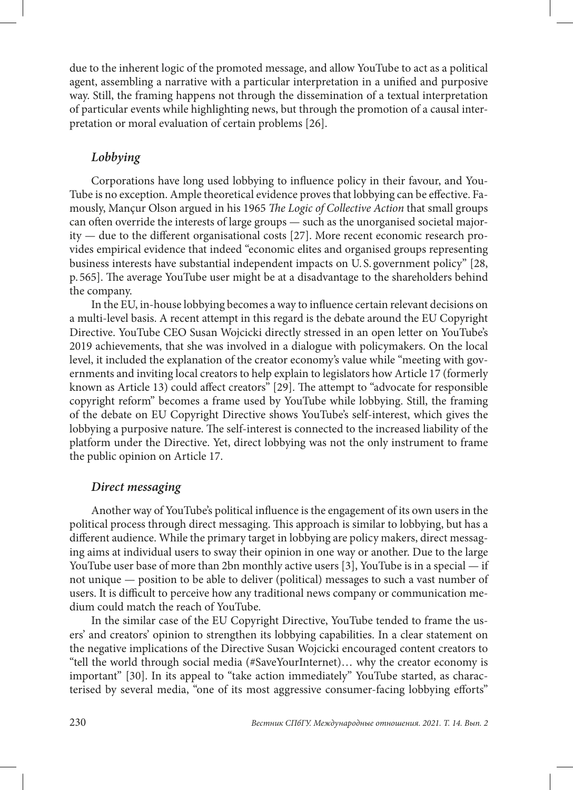due to the inherent logic of the promoted message, and allow YouTube to act as a political agent, assembling a narrative with a particular interpretation in a unified and purposive way. Still, the framing happens not through the dissemination of a textual interpretation of particular events while highlighting news, but through the promotion of a causal interpretation or moral evaluation of certain problems [26].

## *Lobbying*

Corporations have long used lobbying to influence policy in their favour, and You-Tube is no exception. Ample theoretical evidence proves that lobbying can be effective. Famously, Mançur Olson argued in his 1965 *The Logic of Collective Action* that small groups can often override the interests of large groups — such as the unorganised societal majority — due to the different organisational costs [27]. More recent economic research provides empirical evidence that indeed "economic elites and organised groups representing business interests have substantial independent impacts on U. S. government policy" [28, p. 565]. The average YouTube user might be at a disadvantage to the shareholders behind the company.

In the EU, in-house lobbying becomes a way to influence certain relevant decisions on a multi-level basis. A recent attempt in this regard is the debate around the EU Copyright Directive. YouTube CEO Susan Wojcicki directly stressed in an open letter on YouTube's 2019 achievements, that she was involved in a dialogue with policymakers. On the local level, it included the explanation of the creator economy's value while "meeting with governments and inviting local creators to help explain to legislators how Article 17 (formerly known as Article 13) could affect creators" [29]. The attempt to "advocate for responsible copyright reform" becomes a frame used by YouTube while lobbying. Still, the framing of the debate on EU Copyright Directive shows YouTube's self-interest, which gives the lobbying a purposive nature. The self-interest is connected to the increased liability of the platform under the Directive. Yet, direct lobbying was not the only instrument to frame the public opinion on Article 17.

## *Direct messaging*

Another way of YouTube's political influence is the engagement of its own users in the political process through direct messaging. This approach is similar to lobbying, but has a different audience. While the primary target in lobbying are policy makers, direct messaging aims at individual users to sway their opinion in one way or another. Due to the large YouTube user base of more than 2bn monthly active users [3], YouTube is in a special — if not unique — position to be able to deliver (political) messages to such a vast number of users. It is difficult to perceive how any traditional news company or communication medium could match the reach of YouTube.

In the similar case of the EU Copyright Directive, YouTube tended to frame the users' and creators' opinion to strengthen its lobbying capabilities. In a clear statement on the negative implications of the Directive Susan Wojcicki encouraged content creators to "tell the world through social media (#SaveYourInternet)… why the creator economy is important" [30]. In its appeal to "take action immediately" YouTube started, as characterised by several media, "one of its most aggressive consumer-facing lobbying efforts"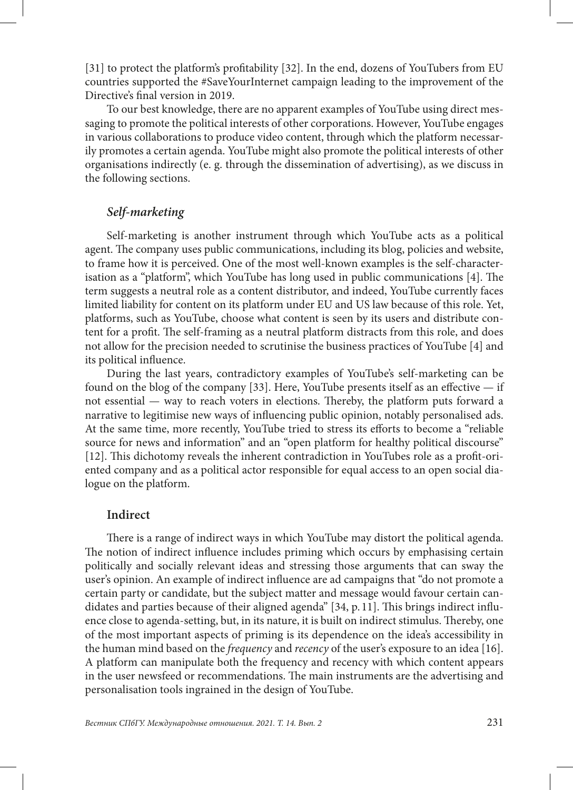[31] to protect the platform's profitability [32]. In the end, dozens of YouTubers from EU countries supported the #SaveYourInternet campaign leading to the improvement of the Directive's final version in 2019.

To our best knowledge, there are no apparent examples of YouTube using direct messaging to promote the political interests of other corporations. However, YouTube engages in various collaborations to produce video content, through which the platform necessarily promotes a certain agenda. YouTube might also promote the political interests of other organisations indirectly (e. g. through the dissemination of advertising), as we discuss in the following sections.

## *Self-marketing*

Self-marketing is another instrument through which YouTube acts as a political agent. The company uses public communications, including its blog, policies and website, to frame how it is perceived. One of the most well-known examples is the self-characterisation as a "platform", which YouTube has long used in public communications [4]. The term suggests a neutral role as a content distributor, and indeed, YouTube currently faces limited liability for content on its platform under EU and US law because of this role. Yet, platforms, such as YouTube, choose what content is seen by its users and distribute content for a profit. The self-framing as a neutral platform distracts from this role, and does not allow for the precision needed to scrutinise the business practices of YouTube [4] and its political influence.

During the last years, contradictory examples of YouTube's self-marketing can be found on the blog of the company  $[33]$ . Here, YouTube presents itself as an effective — if not essential — way to reach voters in elections. Thereby, the platform puts forward a narrative to legitimise new ways of influencing public opinion, notably personalised ads. At the same time, more recently, YouTube tried to stress its efforts to become a "reliable source for news and information" and an "open platform for healthy political discourse" [12]. This dichotomy reveals the inherent contradiction in YouTubes role as a profit-oriented company and as a political actor responsible for equal access to an open social dialogue on the platform.

#### **Indirect**

There is a range of indirect ways in which YouTube may distort the political agenda. The notion of indirect influence includes priming which occurs by emphasising certain politically and socially relevant ideas and stressing those arguments that can sway the user's opinion. An example of indirect influence are ad campaigns that "do not promote a certain party or candidate, but the subject matter and message would favour certain candidates and parties because of their aligned agenda" [34, p. 11]. This brings indirect influence close to agenda-setting, but, in its nature, it is built on indirect stimulus. Thereby, one of the most important aspects of priming is its dependence on the idea's accessibility in the human mind based on the *frequency* and *recency* of the user's exposure to an idea [16]. A platform can manipulate both the frequency and recency with which content appears in the user newsfeed or recommendations. The main instruments are the advertising and personalisation tools ingrained in the design of YouTube.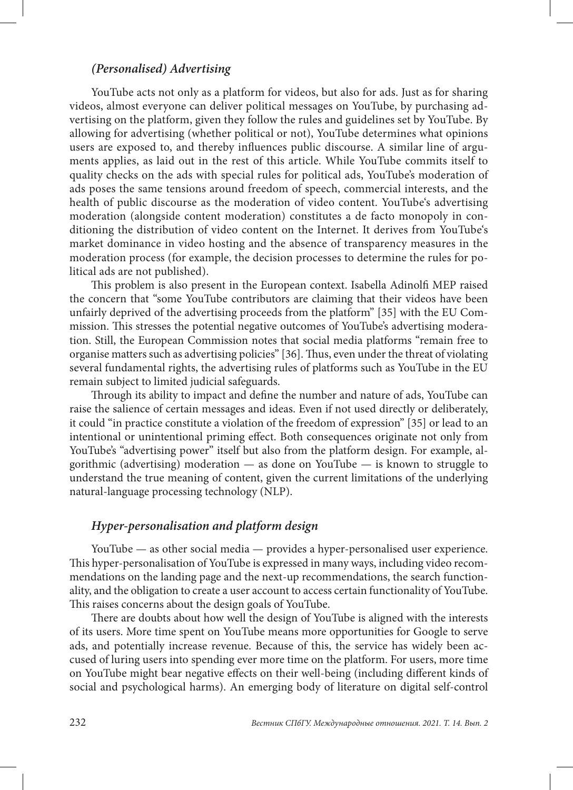#### *(Personalised) Advertising*

YouTube acts not only as a platform for videos, but also for ads. Just as for sharing videos, almost everyone can deliver political messages on YouTube, by purchasing advertising on the platform, given they follow the rules and guidelines set by YouTube. By allowing for advertising (whether political or not), YouTube determines what opinions users are exposed to, and thereby influences public discourse. A similar line of arguments applies, as laid out in the rest of this article. While YouTube commits itself to quality checks on the ads with special rules for political ads, YouTube's moderation of ads poses the same tensions around freedom of speech, commercial interests, and the health of public discourse as the moderation of video content. YouTube's advertising moderation (alongside content moderation) constitutes a de facto monopoly in conditioning the distribution of video content on the Internet. It derives from YouTube's market dominance in video hosting and the absence of transparency measures in the moderation process (for example, the decision processes to determine the rules for political ads are not published).

This problem is also present in the European context. Isabella Adinolfi MEP raised the concern that "some YouTube contributors are claiming that their videos have been unfairly deprived of the advertising proceeds from the platform" [35] with the EU Commission. This stresses the potential negative outcomes of YouTube's advertising moderation. Still, the European Commission notes that social media platforms "remain free to organise matters such as advertising policies" [36]. Thus, even under the threat of violating several fundamental rights, the advertising rules of platforms such as YouTube in the EU remain subject to limited judicial safeguards.

Through its ability to impact and define the number and nature of ads, YouTube can raise the salience of certain messages and ideas. Even if not used directly or deliberately, it could "in practice constitute a violation of the freedom of expression" [35] or lead to an intentional or unintentional priming effect. Both consequences originate not only from YouTube's "advertising power" itself but also from the platform design. For example, algorithmic (advertising) moderation  $-$  as done on YouTube  $-$  is known to struggle to understand the true meaning of content, given the current limitations of the underlying natural-language processing technology (NLP).

### *Hyper-personalisation and platform design*

YouTube — as other social media — provides a hyper-personalised user experience. This hyper-personalisation of YouTube is expressed in many ways, including video recommendations on the landing page and the next-up recommendations, the search functionality, and the obligation to create a user account to access certain functionality of YouTube. This raises concerns about the design goals of YouTube.

There are doubts about how well the design of YouTube is aligned with the interests of its users. More time spent on YouTube means more opportunities for Google to serve ads, and potentially increase revenue. Because of this, the service has widely been accused of luring users into spending ever more time on the platform. For users, more time on YouTube might bear negative effects on their well-being (including different kinds of social and psychological harms). An emerging body of literature on digital self-control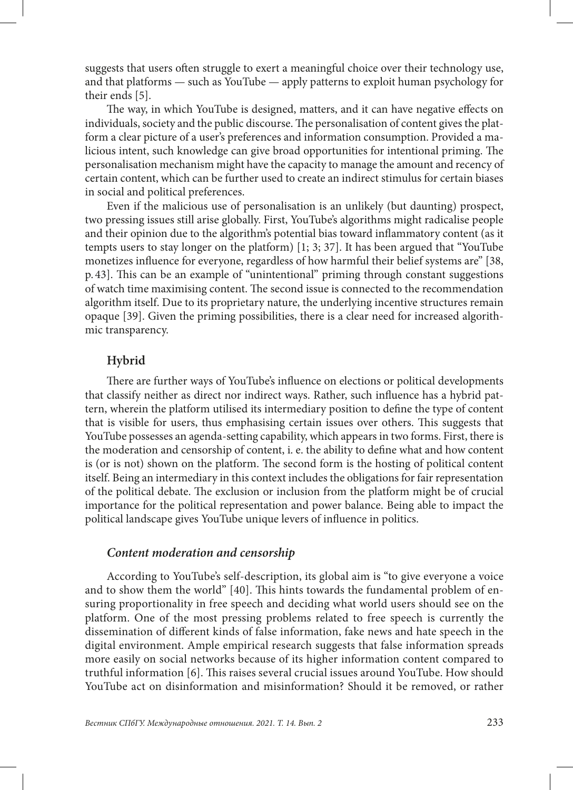suggests that users often struggle to exert a meaningful choice over their technology use, and that platforms — such as YouTube — apply patterns to exploit human psychology for their ends [5].

The way, in which YouTube is designed, matters, and it can have negative effects on individuals, society and the public discourse. The personalisation of content gives the platform a clear picture of a user's preferences and information consumption. Provided a malicious intent, such knowledge can give broad opportunities for intentional priming. The personalisation mechanism might have the capacity to manage the amount and recency of certain content, which can be further used to create an indirect stimulus for certain biases in social and political preferences.

Even if the malicious use of personalisation is an unlikely (but daunting) prospect, two pressing issues still arise globally. First, YouTube's algorithms might radicalise people and their opinion due to the algorithm's potential bias toward inflammatory content (as it tempts users to stay longer on the platform) [1; 3; 37]. It has been argued that "YouTube monetizes influence for everyone, regardless of how harmful their belief systems are" [38, p. 43]. This can be an example of "unintentional" priming through constant suggestions of watch time maximising content. The second issue is connected to the recommendation algorithm itself. Due to its proprietary nature, the underlying incentive structures remain opaque [39]. Given the priming possibilities, there is a clear need for increased algorithmic transparency.

## **Hybrid**

There are further ways of YouTube's influence on elections or political developments that classify neither as direct nor indirect ways. Rather, such influence has a hybrid pattern, wherein the platform utilised its intermediary position to define the type of content that is visible for users, thus emphasising certain issues over others. This suggests that YouTube possesses an agenda-setting capability, which appears in two forms. First, there is the moderation and censorship of content, i. e. the ability to define what and how content is (or is not) shown on the platform. The second form is the hosting of political content itself. Being an intermediary in this context includes the obligations for fair representation of the political debate. The exclusion or inclusion from the platform might be of crucial importance for the political representation and power balance. Being able to impact the political landscape gives YouTube unique levers of influence in politics.

#### *Content moderation and censorship*

According to YouTube's self-description, its global aim is "to give everyone a voice and to show them the world" [40]. This hints towards the fundamental problem of ensuring proportionality in free speech and deciding what world users should see on the platform. One of the most pressing problems related to free speech is currently the dissemination of different kinds of false information, fake news and hate speech in the digital environment. Ample empirical research suggests that false information spreads more easily on social networks because of its higher information content compared to truthful information [6]. This raises several crucial issues around YouTube. How should YouTube act on disinformation and misinformation? Should it be removed, or rather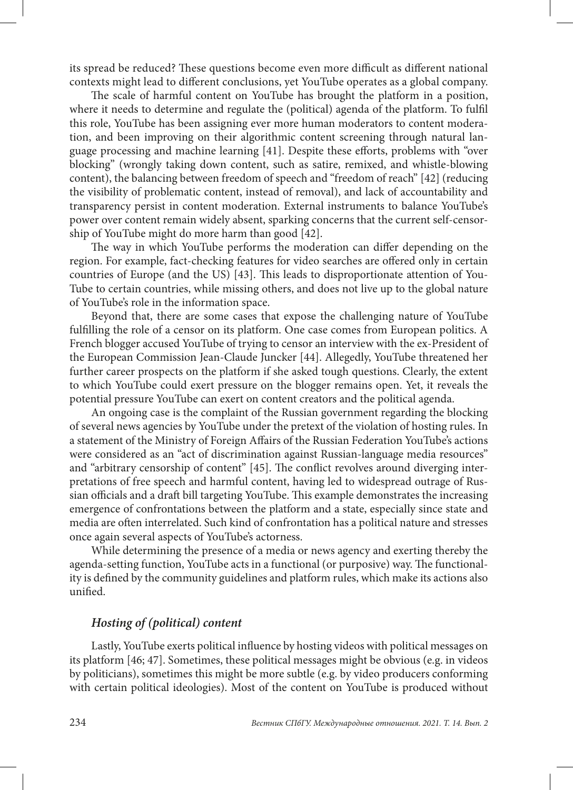its spread be reduced? These questions become even more difficult as different national contexts might lead to different conclusions, yet YouTube operates as a global company.

The scale of harmful content on YouTube has brought the platform in a position, where it needs to determine and regulate the (political) agenda of the platform. To fulfil this role, YouTube has been assigning ever more human moderators to content moderation, and been improving on their algorithmic content screening through natural language processing and machine learning [41]. Despite these efforts, problems with "over blocking" (wrongly taking down content, such as satire, remixed, and whistle-blowing content), the balancing between freedom of speech and "freedom of reach" [42] (reducing the visibility of problematic content, instead of removal), and lack of accountability and transparency persist in content moderation. External instruments to balance YouTube's power over content remain widely absent, sparking concerns that the current self-censorship of YouTube might do more harm than good [42].

The way in which YouTube performs the moderation can differ depending on the region. For example, fact-checking features for video searches are offered only in certain countries of Europe (and the US) [43]. This leads to disproportionate attention of You-Tube to certain countries, while missing others, and does not live up to the global nature of YouTube's role in the information space.

Beyond that, there are some cases that expose the challenging nature of YouTube fulfilling the role of a censor on its platform. One case comes from European politics. A French blogger accused YouTube of trying to censor an interview with the ex-President of the European Commission Jean-Claude Juncker [44]. Allegedly, YouTube threatened her further career prospects on the platform if she asked tough questions. Clearly, the extent to which YouTube could exert pressure on the blogger remains open. Yet, it reveals the potential pressure YouTube can exert on content creators and the political agenda.

An ongoing case is the complaint of the Russian government regarding the blocking of several news agencies by YouTube under the pretext of the violation of hosting rules. In a statement of the Ministry of Foreign Affairs of the Russian Federation YouTube's actions were considered as an "act of discrimination against Russian-language media resources" and "arbitrary censorship of content" [45]. The conflict revolves around diverging interpretations of free speech and harmful content, having led to widespread outrage of Russian officials and a draft bill targeting YouTube. This example demonstrates the increasing emergence of confrontations between the platform and a state, especially since state and media are often interrelated. Such kind of confrontation has a political nature and stresses once again several aspects of YouTube's actorness.

While determining the presence of a media or news agency and exerting thereby the agenda-setting function, YouTube acts in a functional (or purposive) way. The functionality is defined by the community guidelines and platform rules, which make its actions also unified.

#### *Hosting of (political) content*

Lastly, YouTube exerts political influence by hosting videos with political messages on its platform [46; 47]. Sometimes, these political messages might be obvious (e.g. in videos by politicians), sometimes this might be more subtle (e.g. by video producers conforming with certain political ideologies). Most of the content on YouTube is produced without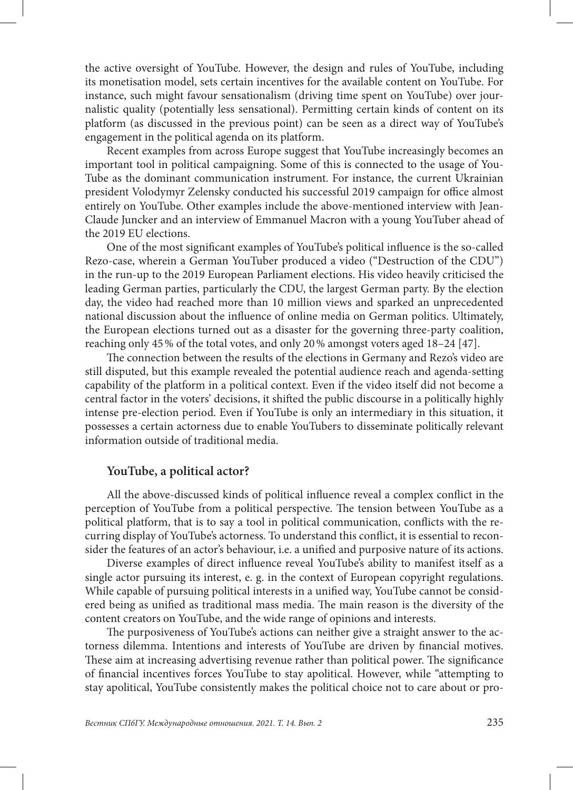the active oversight of YouTube. However, the design and rules of YouTube, including its monetisation model, sets certain incentives for the available content on YouTube. For instance, such might favour sensationalism (driving time spent on YouTube) over journalistic quality (potentially less sensational). Permitting certain kinds of content on its platform (as discussed in the previous point) can be seen as a direct way of YouTube's engagement in the political agenda on its platform.

Recent examples from across Europe suggest that YouTube increasingly becomes an important tool in political campaigning. Some of this is connected to the usage of You-Tube as the dominant communication instrument. For instance, the current Ukrainian president Volodymyr Zelensky conducted his successful 2019 campaign for office almost entirely on YouTube. Other examples include the above-mentioned interview with Jean-Claude Juncker and an interview of Emmanuel Macron with a young YouTuber ahead of the 2019 EU elections.

One of the most significant examples of YouTube's political influence is the so-called Rezo-case, wherein a German YouTuber produced a video ("Destruction of the CDU") in the run-up to the 2019 European Parliament elections. His video heavily criticised the leading German parties, particularly the CDU, the largest German party. By the election day, the video had reached more than 10 million views and sparked an unprecedented national discussion about the influence of online media on German politics. Ultimately, the European elections turned out as a disaster for the governing three-party coalition, reaching only 45% of the total votes, and only 20% amongst voters aged 18–24 [47].

The connection between the results of the elections in Germany and Rezo's video are still disputed, but this example revealed the potential audience reach and agenda-setting capability of the platform in a political context. Even if the video itself did not become a central factor in the voters' decisions, it shifted the public discourse in a politically highly intense pre-election period. Even if YouTube is only an intermediary in this situation, it possesses a certain actorness due to enable YouTubers to disseminate politically relevant information outside of traditional media.

#### **YouTube, a political actor?**

All the above-discussed kinds of political influence reveal a complex conflict in the perception of YouTube from a political perspective. The tension between YouTube as a political platform, that is to say a tool in political communication, conflicts with the recurring display of YouTube's actorness. To understand this conflict, it is essential to reconsider the features of an actor's behaviour, i.e. a unified and purposive nature of its actions.

Diverse examples of direct influence reveal YouTube's ability to manifest itself as a single actor pursuing its interest, e. g. in the context of European copyright regulations. While capable of pursuing political interests in a unified way, YouTube cannot be considered being as unified as traditional mass media. The main reason is the diversity of the content creators on YouTube, and the wide range of opinions and interests.

The purposiveness of YouTube's actions can neither give a straight answer to the actorness dilemma. Intentions and interests of YouTube are driven by financial motives. These aim at increasing advertising revenue rather than political power. The significance of financial incentives forces YouTube to stay apolitical. However, while "attempting to stay apolitical, YouTube consistently makes the political choice not to care about or pro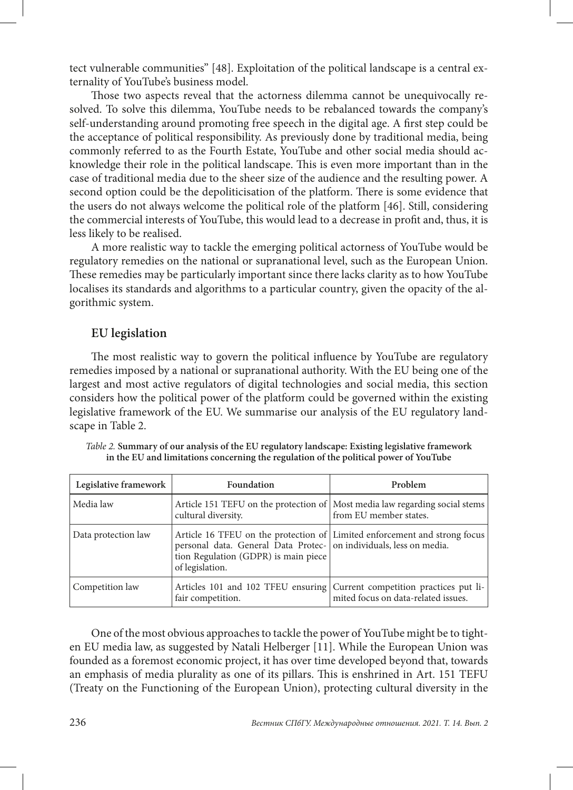tect vulnerable communities" [48]. Exploitation of the political landscape is a central externality of YouTube's business model.

Those two aspects reveal that the actorness dilemma cannot be unequivocally resolved. To solve this dilemma, YouTube needs to be rebalanced towards the company's self-understanding around promoting free speech in the digital age. A first step could be the acceptance of political responsibility. As previously done by traditional media, being commonly referred to as the Fourth Estate, YouTube and other social media should acknowledge their role in the political landscape. This is even more important than in the case of traditional media due to the sheer size of the audience and the resulting power. A second option could be the depoliticisation of the platform. There is some evidence that the users do not always welcome the political role of the platform [46]. Still, considering the commercial interests of YouTube, this would lead to a decrease in profit and, thus, it is less likely to be realised.

A more realistic way to tackle the emerging political actorness of YouTube would be regulatory remedies on the national or supranational level, such as the European Union. These remedies may be particularly important since there lacks clarity as to how YouTube localises its standards and algorithms to a particular country, given the opacity of the algorithmic system.

#### **EU legislation**

The most realistic way to govern the political influence by YouTube are regulatory remedies imposed by a national or supranational authority. With the EU being one of the largest and most active regulators of digital technologies and social media, this section considers how the political power of the platform could be governed within the existing legislative framework of the EU. We summarise our analysis of the EU regulatory landscape in Table 2.

| Legislative framework | Foundation                                                                                                                    | Problem                                                                                                         |
|-----------------------|-------------------------------------------------------------------------------------------------------------------------------|-----------------------------------------------------------------------------------------------------------------|
| Media law             | cultural diversity.                                                                                                           | Article 151 TEFU on the protection of Most media law regarding social stems<br>from EU member states.           |
| Data protection law   | personal data. General Data Protec- on individuals, less on media.<br>tion Regulation (GDPR) is main piece<br>of legislation. | Article 16 TFEU on the protection of Limited enforcement and strong focus                                       |
| Competition law       | fair competition.                                                                                                             | Articles 101 and 102 TFEU ensuring Current competition practices put li-<br>mited focus on data-related issues. |

*Table 2.* **Summary of our analysis of the EU regulatory landscape: Existing legislative framework in the EU and limitations concerning the regulation of the political power of YouTube**

One of the most obvious approaches to tackle the power of YouTube might be to tighten EU media law, as suggested by Natali Helberger [11]. While the European Union was founded as a foremost economic project, it has over time developed beyond that, towards an emphasis of media plurality as one of its pillars. This is enshrined in Art. 151 TEFU (Treaty on the Functioning of the European Union), protecting cultural diversity in the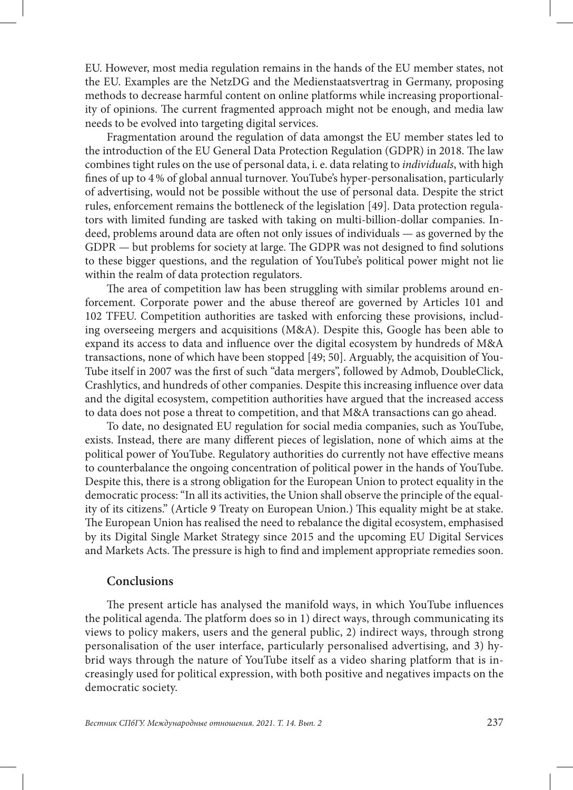EU. However, most media regulation remains in the hands of the EU member states, not the EU. Examples are the NetzDG and the Medienstaatsvertrag in Germany, proposing methods to decrease harmful content on online platforms while increasing proportionality of opinions. The current fragmented approach might not be enough, and media law needs to be evolved into targeting digital services.

Fragmentation around the regulation of data amongst the EU member states led to the introduction of the EU General Data Protection Regulation (GDPR) in 2018. The law combines tight rules on the use of personal data, i. e. data relating to *individuals*, with high fines of up to 4% of global annual turnover. YouTube's hyper-personalisation, particularly of advertising, would not be possible without the use of personal data. Despite the strict rules, enforcement remains the bottleneck of the legislation [49]. Data protection regulators with limited funding are tasked with taking on multi-billion-dollar companies. Indeed, problems around data are often not only issues of individuals — as governed by the GDPR — but problems for society at large. The GDPR was not designed to find solutions to these bigger questions, and the regulation of YouTube's political power might not lie within the realm of data protection regulators.

The area of competition law has been struggling with similar problems around enforcement. Corporate power and the abuse thereof are governed by Articles 101 and 102 TFEU. Competition authorities are tasked with enforcing these provisions, including overseeing mergers and acquisitions (M&A). Despite this, Google has been able to expand its access to data and influence over the digital ecosystem by hundreds of M&A transactions, none of which have been stopped [49; 50]. Arguably, the acquisition of You-Tube itself in 2007 was the first of such "data mergers", followed by Admob, DoubleClick, Crashlytics, and hundreds of other companies. Despite this increasing influence over data and the digital ecosystem, competition authorities have argued that the increased access to data does not pose a threat to competition, and that M&A transactions can go ahead.

To date, no designated EU regulation for social media companies, such as YouTube, exists. Instead, there are many different pieces of legislation, none of which aims at the political power of YouTube. Regulatory authorities do currently not have effective means to counterbalance the ongoing concentration of political power in the hands of YouTube. Despite this, there is a strong obligation for the European Union to protect equality in the democratic process: "In all its activities, the Union shall observe the principle of the equality of its citizens." (Article 9 Treaty on European Union.) This equality might be at stake. The European Union has realised the need to rebalance the digital ecosystem, emphasised by its Digital Single Market Strategy since 2015 and the upcoming EU Digital Services and Markets Acts. The pressure is high to find and implement appropriate remedies soon.

### **Conclusions**

The present article has analysed the manifold ways, in which YouTube influences the political agenda. The platform does so in 1) direct ways, through communicating its views to policy makers, users and the general public, 2) indirect ways, through strong personalisation of the user interface, particularly personalised advertising, and 3) hybrid ways through the nature of YouTube itself as a video sharing platform that is increasingly used for political expression, with both positive and negatives impacts on the democratic society.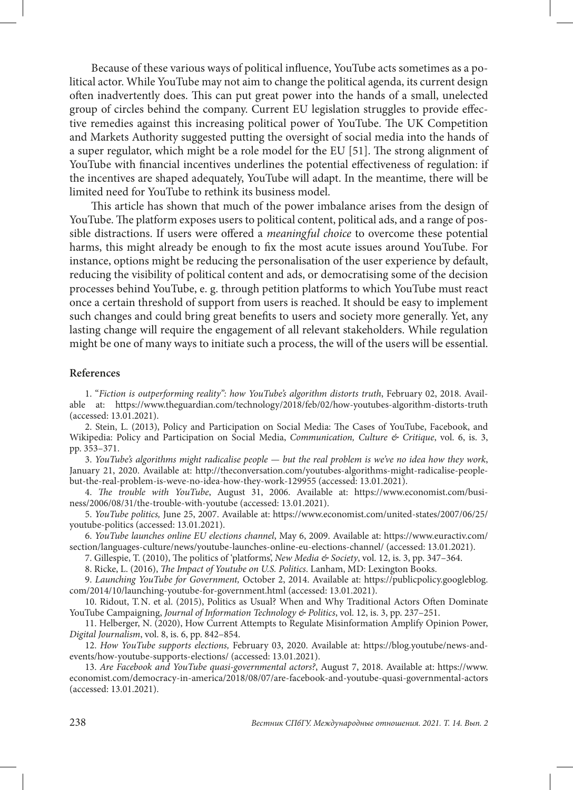Because of these various ways of political influence, YouTube acts sometimes as a political actor. While YouTube may not aim to change the political agenda, its current design often inadvertently does. This can put great power into the hands of a small, unelected group of circles behind the company. Current EU legislation struggles to provide effective remedies against this increasing political power of YouTube. The UK Competition and Markets Authority suggested putting the oversight of social media into the hands of a super regulator, which might be a role model for the EU [51]. The strong alignment of YouTube with financial incentives underlines the potential effectiveness of regulation: if the incentives are shaped adequately, YouTube will adapt. In the meantime, there will be limited need for YouTube to rethink its business model.

This article has shown that much of the power imbalance arises from the design of YouTube. The platform exposes users to political content, political ads, and a range of possible distractions. If users were offered a *meaningful choice* to overcome these potential harms, this might already be enough to fix the most acute issues around YouTube. For instance, options might be reducing the personalisation of the user experience by default, reducing the visibility of political content and ads, or democratising some of the decision processes behind YouTube, e. g. through petition platforms to which YouTube must react once a certain threshold of support from users is reached. It should be easy to implement such changes and could bring great benefits to users and society more generally. Yet, any lasting change will require the engagement of all relevant stakeholders. While regulation might be one of many ways to initiate such a process, the will of the users will be essential.

#### **References**

1. "*Fiction is outperforming reality": how YouTube's algorithm distorts truth*, February 02, 2018. Available at: https://www.theguardian.com/technology/2018/feb/02/how-youtubes-algorithm-distorts-truth (accessed: 13.01.2021).

2. Stein, L. (2013), Policy and Participation on Social Media: The Cases of YouTube, Facebook, and Wikipedia: Policy and Participation on Social Media, *Communication, Culture & Critique*, vol. 6, is. 3, pp. 353–371.

3. *YouTube's algorithms might radicalise people — but the real problem is we've no idea how they work*, January 21, 2020. Available at: [http://theconversation.com/youtubes-algorithms-might-radicalise-people](http://theconversation.com/youtubes-algorithms-might-radicalise-people-but-the-real-problem-is-weve-no-idea-how-they-work-129955)[but-the-real-problem-is-weve-no-idea-how-they-work-129955](http://theconversation.com/youtubes-algorithms-might-radicalise-people-but-the-real-problem-is-weve-no-idea-how-they-work-129955) (accessed: 13.01.2021).

4. *The trouble with YouTube*, August 31, 2006. Available at: [https://www.economist.com/busi](https://www.economist.com/business/2006/08/31/the-trouble-with-youtube)[ness/2006/08/31/the-trouble-with-youtube](https://www.economist.com/business/2006/08/31/the-trouble-with-youtube) (accessed: 13.01.2021).

5. *YouTube politics,* June 25, 2007. Available at: [https://www.economist.com/united-states/2007/06/25/](https://www.economist.com/united-states/2007/06/25/youtube-politics) [youtube-politics](https://www.economist.com/united-states/2007/06/25/youtube-politics) (accessed: 13.01.2021).

6. *YouTube launches online EU elections channel*, May 6, 2009. Available at: [https://www.euractiv.com/](file:///C:/CURRENT/%d0%9b%d0%b5%d0%bd%d0%b0/921062_6-2-2021%20%d0%b2%20%d0%b2%d0%b5%d1%80%d1%81%d1%82%d0%ba%d1%83%20%d1%81%d0%b4.%2028.06.2021/%d0%93%d0%9e%d0%a2%d0%9e%d0%92%d0%9e/6-2-2021%20%d0%ba%d0%be%d1%80%d1%80%d0%b5%d0%ba%d1%82%d1%83%d1%80%d0%b0%20%d0%bd%d0%b0%20%d0%b2%d0%bd%d0%b5%d1%81%d0%b5%d0%bd%d0%b8%d0%b5/ ) [section/languages-culture/news/youtube-launches-online-eu-elections-channel/](file:///C:/CURRENT/%d0%9b%d0%b5%d0%bd%d0%b0/921062_6-2-2021%20%d0%b2%20%d0%b2%d0%b5%d1%80%d1%81%d1%82%d0%ba%d1%83%20%d1%81%d0%b4.%2028.06.2021/%d0%93%d0%9e%d0%a2%d0%9e%d0%92%d0%9e/6-2-2021%20%d0%ba%d0%be%d1%80%d1%80%d0%b5%d0%ba%d1%82%d1%83%d1%80%d0%b0%20%d0%bd%d0%b0%20%d0%b2%d0%bd%d0%b5%d1%81%d0%b5%d0%bd%d0%b8%d0%b5/ ) (accessed: 13.01.2021).

7. Gillespie, T. (2010), The politics of 'platforms', *New Media & Society*, vol. 12, is. 3, pp. 347–364.

8. Ricke, L. (2016), *The Impact of Youtube on U.S. Politics*. Lanham, MD: Lexington Books.

9. *Launching YouTube for Government,* October 2, 2014. Available at: [https://publicpolicy.googleblog.](https://publicpolicy.googleblog.com/2014/10/launching-youtube-for-government.html) [com/2014/10/launching-youtube-for-government.html](https://publicpolicy.googleblog.com/2014/10/launching-youtube-for-government.html) (accessed: 13.01.2021).

10. Ridout, T.N. et al. (2015), Politics as Usual? When and Why Traditional Actors Often Dominate YouTube Campaigning, *Journal of Information Technology & Politics*, vol. 12, is. 3, pp. 237–251.

11. Helberger, N. (2020), How Current Attempts to Regulate Misinformation Amplify Opinion Power, *Digital Journalism*, vol. 8, is. 6, pp. 842–854.

12. *How YouTube supports elections,* February 03, 2020. Available at: https://blog.youtube/news-andevents/how-youtube-supports-elections/ (accessed: 13.01.2021).

13. *Are Facebook and YouTube quasi-governmental actors?*, August 7, 2018. Available at: [https://www.](https://www.economist.com/democracy-in-america/2018/08/07/are-facebook-and-youtube-quasi-governmental-actors) [economist.com/democracy-in-america/2018/08/07/are-facebook-and-youtube-quasi-governmental-actors](https://www.economist.com/democracy-in-america/2018/08/07/are-facebook-and-youtube-quasi-governmental-actors)  (accessed: 13.01.2021).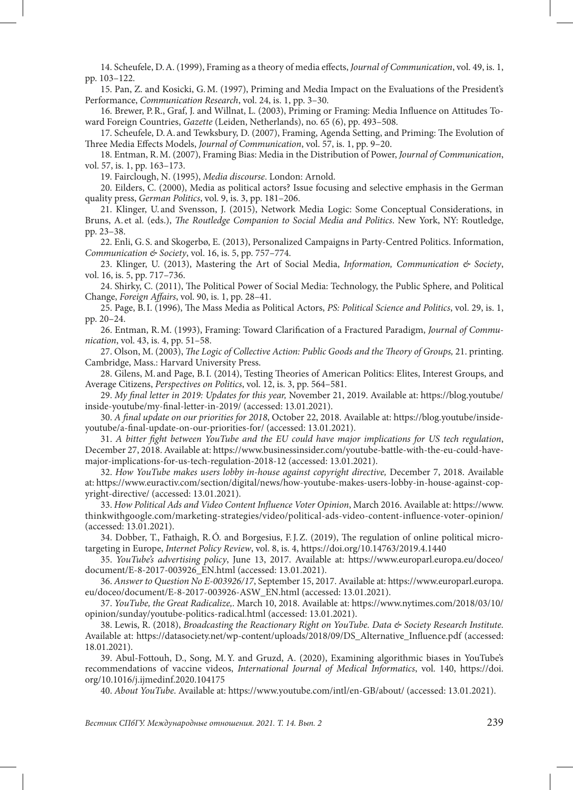14. Scheufele, D.A. (1999), Framing as a theory of media effects, *Journal of Communication*, vol. 49, is. 1, pp. 103–122.

15. Pan, Z. and Kosicki, G.M. (1997), Priming and Media Impact on the Evaluations of the President's Performance, *Communication Research*, vol. 24, is. 1, pp. 3–30.

16. Brewer, P.R., Graf, J. and Willnat, L. (2003), Priming or Framing: Media Influence on Attitudes Toward Foreign Countries, *Gazette* (Leiden, Netherlands), no. 65 (6), pp. 493–508.

17. Scheufele, D.A. and Tewksbury, D. (2007), Framing, Agenda Setting, and Priming: The Evolution of Three Media Effects Models, *Journal of Communication*, vol. 57, is. 1, pp. 9–20.

18. Entman, R.M. (2007), Framing Bias: Media in the Distribution of Power, *Journal of Communication*, vol. 57, is. 1, pp. 163–173.

19. Fairclough, N. (1995), *Media discourse*. London: Arnold.

20. Eilders, C. (2000), Media as political actors? Issue focusing and selective emphasis in the German quality press, *German Politics*, vol. 9, is. 3, pp. 181–206.

21. Klinger, U. and Svensson, J. (2015), Network Media Logic: Some Conceptual Considerations, in Bruns, A. et al. (eds.), *The Routledge Companion to Social Media and Politics*. New York, NY: Routledge, pp. 23–38.

22. Enli, G. S. and Skogerbø, E. (2013), Personalized Campaigns in Party-Centred Politics. Information, *Communication & Society*, vol. 16, is. 5, pp. 757–774.

23. Klinger, U. (2013), Mastering the Art of Social Media, *Information, Communication & Society*, vol. 16, is. 5, pp. 717–736.

24. Shirky, C. (2011), The Political Power of Social Media: Technology, the Public Sphere, and Political Change, *Foreign Affairs*, vol. 90, is. 1, pp. 28–41.

25. Page, B.I. (1996), The Mass Media as Political Actors, *PS: Political Science and Politics*, vol. 29, is. 1, pp. 20–24.

26. Entman, R.M. (1993), Framing: Toward Clarification of a Fractured Paradigm, *Journal of Communication*, vol. 43, is. 4, pp. 51–58.

27. Olson, M. (2003), *The Logic of Collective Action: Public Goods and the Theory of Groups,* 21. printing. Cambridge, Mass.: Harvard University Press.

28. Gilens, M. and Page, B.I. (2014), Testing Theories of American Politics: Elites, Interest Groups, and Average Citizens, *Perspectives on Politics*, vol. 12, is. 3, pp. 564–581.

29. *My final letter in 2019: Updates for this year,* November 21, 2019. Available at: [https://blog.youtube/](https://blog.youtube/inside-youtube/my-final-letter-in-2019/) [inside-youtube/my-final-letter-in-2019/](https://blog.youtube/inside-youtube/my-final-letter-in-2019/) (accessed: 13.01.2021).

30. *A final update on our priorities for 2018*, October 22, 2018. Available at: https://blog.youtube/insideyoutube/a-final-update-on-our-priorities-for/ (accessed: 13.01.2021).

31. *A bitter fight between YouTube and the EU could have major implications for US tech regulation*, December 27, 2018. Available at: [https://www.businessinsider.com/youtube-battle-with-the-eu-could-have](https://www.businessinsider.com/youtube-battle-with-the-eu-could-have-major-implications-for-us-tech-regulation-2018-12)[major-implications-for-us-tech-regulation-2018-12](https://www.businessinsider.com/youtube-battle-with-the-eu-could-have-major-implications-for-us-tech-regulation-2018-12) (accessed: 13.01.2021).

32. *How YouTube makes users lobby in-house against copyright directive,* December 7, 2018. Available at: [https://www.euractiv.com/section/digital/news/how-youtube-makes-users-lobby-in-house-against-cop](https://www.euractiv.com/section/digital/news/how-youtube-makes-users-lobby-in-house-against-copyright-directive/)[yright-directive/](https://www.euractiv.com/section/digital/news/how-youtube-makes-users-lobby-in-house-against-copyright-directive/) (accessed: 13.01.2021).

33. *How Political Ads and Video Content Influence Voter Opinion*, March 2016. Available at: [https://www.](https://www.thinkwithgoogle.com/marketing-strategies/video/political-ads-video-content-influence-voter-opinion/) [thinkwithgoogle.com/marketing-strategies/video/political-ads-video-content-influence-voter-opinion/](https://www.thinkwithgoogle.com/marketing-strategies/video/political-ads-video-content-influence-voter-opinion/) (accessed: 13.01.2021).

34. Dobber, T., Fathaigh, R.Ó. and Borgesius, F.J.Z. (2019), The regulation of online political microtargeting in Europe, *Internet Policy Review*, vol. 8, is. 4, https://doi.org/10.14763/2019.4.1440

35. *YouTube's advertising policy*, June 13, 2017. Available at: [https://www.europarl.europa.eu/doceo/](https://www.europarl.europa.eu/doceo/document/E-8-2017-003926_EN.html) [document/E-8-2017-003926\\_EN.html](https://www.europarl.europa.eu/doceo/document/E-8-2017-003926_EN.html) (accessed: 13.01.2021).

36. *Answer to Question No E-003926/17*, September 15, 2017. Available at: [https://www.europarl.europa.](https://www.europarl.europa.eu/doceo/document/E-8-2017-003926-ASW_EN.html) [eu/doceo/document/E-8-2017-003926-ASW\\_EN.html](https://www.europarl.europa.eu/doceo/document/E-8-2017-003926-ASW_EN.html) (accessed: 13.01.2021).

37. *YouTube, the Great Radicalize,*. March 10, 2018. Available at: [https://www.nytimes.com/2018/03/10/](https://www.nytimes.com/2018/03/10/opinion/sunday/youtube-politics-radical.html) [opinion/sunday/youtube-politics-radical.html](https://www.nytimes.com/2018/03/10/opinion/sunday/youtube-politics-radical.html) (accessed: 13.01.2021).

38. Lewis, R. (2018), *Broadcasting the Reactionary Right on YouTube. Data & Society Research Institute*. Available at: https://datasociety.net/wp-content/uploads/2018/09/DS\_Alternative\_Influence.pdf (accessed: 18.01.2021).

39. Abul-Fottouh, D., Song, M.Y. and Gruzd, A. (2020), Examining algorithmic biases in YouTube's recommendations of vaccine videos, *International Journal of Medical Informatics*, vol. 140, [https://doi.](https://doi.org/10.1016/j.ijmedinf.2020.104175) [org/10.1016/j.ijmedinf.2020.104175](https://doi.org/10.1016/j.ijmedinf.2020.104175)

40. *About YouTube*. Available at:<https://www.youtube.com/intl/en-GB/about/> (accessed: 13.01.2021).